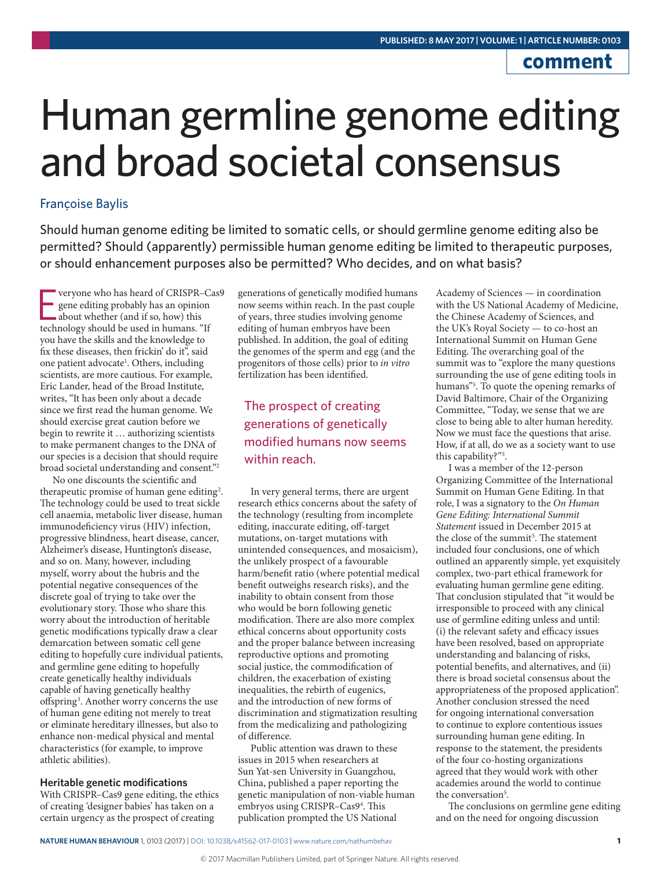# **comment**

# Human germline genome editing and broad societal consensus

## Françoise Baylis

Should human genome editing be limited to somatic cells, or should germline genome editing also be permitted? Should (apparently) permissible human genome editing be limited to therapeutic purposes, or should enhancement purposes also be permitted? Who decides, and on what basis?

**Example 18 years of CRISPR-C** gene editing probably has an opinion about whether (and if so, how) this technology should be used in humans. "If veryone who has heard of CRISPR–Cas9 gene editing probably has an opinion about whether (and if so, how) this you have the skills and the knowledge to fix these diseases, then frickin' do it", said one patient advocate<sup>1</sup>. Others, including scientists, are more cautious. For example, Eric Lander, head of the Broad Institute, writes, "It has been only about a decade since we first read the human genome. We should exercise great caution before we begin to rewrite it … authorizing scientists to make permanent changes to the DNA of our species is a decision that should require broad societal understanding and consent."2

No one discounts the scientific and therapeutic promise of human gene editing<sup>2</sup>. The technology could be used to treat sickle cell anaemia, metabolic liver disease, human immunodeficiency virus (HIV) infection, progressive blindness, heart disease, cancer, Alzheimer's disease, Huntington's disease, and so on. Many, however, including myself, worry about the hubris and the potential negative consequences of the discrete goal of trying to take over the evolutionary story. Those who share this worry about the introduction of heritable genetic modifications typically draw a clear demarcation between somatic cell gene editing to hopefully cure individual patients, and germline gene editing to hopefully create genetically healthy individuals capable of having genetically healthy offspring<sup>3</sup>. Another worry concerns the use of human gene editing not merely to treat or eliminate hereditary illnesses, but also to enhance non-medical physical and mental characteristics (for example, to improve athletic abilities).

#### **Heritable genetic modifications**

With CRISPR–Cas9 gene editing, the ethics of creating 'designer babies' has taken on a certain urgency as the prospect of creating

generations of genetically modified humans now seems within reach. In the past couple of years, three studies involving genome editing of human embryos have been published. In addition, the goal of editing the genomes of the sperm and egg (and the progenitors of those cells) prior to *in vitro* fertilization has been identified.

# The prospect of creating generations of genetically modified humans now seems within reach.

In very general terms, there are urgent research ethics concerns about the safety of the technology (resulting from incomplete editing, inaccurate editing, off-target mutations, on-target mutations with unintended consequences, and mosaicism), the unlikely prospect of a favourable harm/benefit ratio (where potential medical benefit outweighs research risks), and the inability to obtain consent from those who would be born following genetic modification. There are also more complex ethical concerns about opportunity costs and the proper balance between increasing reproductive options and promoting social justice, the commodification of children, the exacerbation of existing inequalities, the rebirth of eugenics, and the introduction of new forms of discrimination and stigmatization resulting from the medicalizing and pathologizing of difference.

Public attention was drawn to these issues in 2015 when researchers at Sun Yat-sen University in Guangzhou, China, published a paper reporting the genetic manipulation of non-viable human embryos using CRISPR-Cas9<sup>4</sup>. This publication prompted the US National

Academy of Sciences — in coordination with the US National Academy of Medicine, the Chinese Academy of Sciences, and the UK's Royal Society — to co-host an International Summit on Human Gene Editing. The overarching goal of the summit was to "explore the many questions surrounding the use of gene editing tools in humans"5 . To quote the opening remarks of David Baltimore, Chair of the Organizing Committee, "Today, we sense that we are close to being able to alter human heredity. Now we must face the questions that arise. How, if at all, do we as a society want to use this capability?"5 .

I was a member of the 12-person Organizing Committee of the International Summit on Human Gene Editing. In that role, I was a signatory to the *On Human Gene Editing: International Summit Statement* issued in December 2015 at the close of the summit<sup>5</sup>. The statement included four conclusions, one of which outlined an apparently simple, yet exquisitely complex, two-part ethical framework for evaluating human germline gene editing. That conclusion stipulated that "it would be irresponsible to proceed with any clinical use of germline editing unless and until: (i) the relevant safety and efficacy issues have been resolved, based on appropriate understanding and balancing of risks, potential benefits, and alternatives, and (ii) there is broad societal consensus about the appropriateness of the proposed application". Another conclusion stressed the need for ongoing international conversation to continue to explore contentious issues surrounding human gene editing. In response to the statement, the presidents of the four co-hosting organizations agreed that they would work with other academies around the world to continue the conversation<sup>5</sup>.

The conclusions on germline gene editing and on the need for ongoing discussion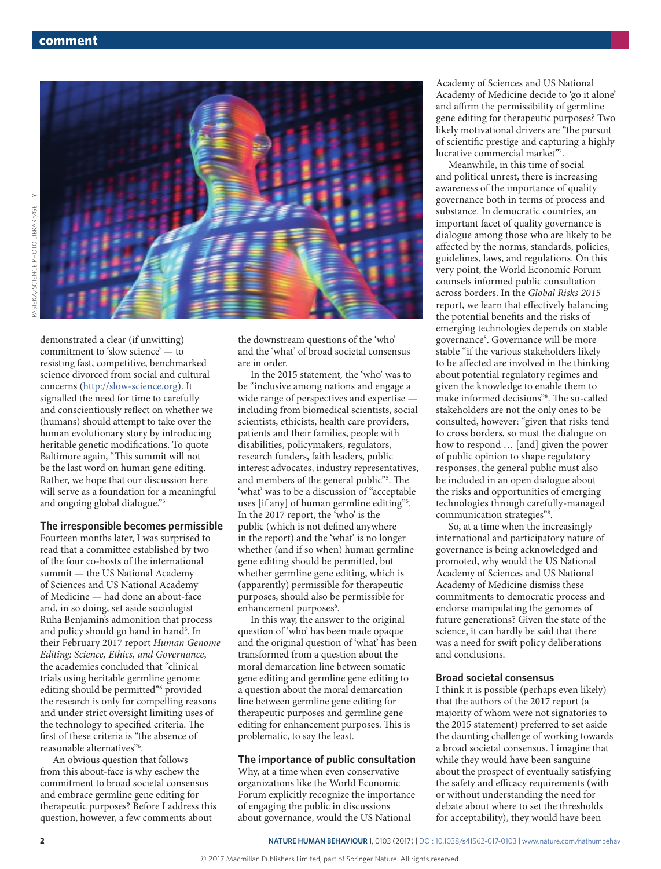

demonstrated a clear (if unwitting) commitment to 'slow science' — to resisting fast, competitive, benchmarked science divorced from social and cultural concerns (http://slow-science.org). It signalled the need for time to carefully and conscientiously reflect on whether we (humans) should attempt to take over the human evolutionary story by introducing heritable genetic modifications. To quote Baltimore again, "This summit will not

be the last word on human gene editing. Rather, we hope that our discussion here will serve as a foundation for a meaningful and ongoing global dialogue."5

#### **The irresponsible becomes permissible**

Fourteen months later, I was surprised to read that a committee established by two of the four co-hosts of the international summit — the US National Academy of Sciences and US National Academy of Medicine — had done an about-face and, in so doing, set aside sociologist Ruha Benjamin's admonition that process and policy should go hand in hand<sup>5</sup>. In their February 2017 report *Human Genome Editing: Science, Ethics, and Governance*, the academies concluded that "clinical trials using heritable germline genome editing should be permitted"<sup>6</sup> provided the research is only for compelling reasons and under strict oversight limiting uses of the technology to specified criteria. The first of these criteria is "the absence of reasonable alternatives"6 .

An obvious question that follows from this about-face is why eschew the commitment to broad societal consensus and embrace germline gene editing for therapeutic purposes? Before I address this question, however, a few comments about

the downstream questions of the 'who' and the 'what' of broad societal consensus are in order.

In the 2015 statement*,* the 'who' was to be "inclusive among nations and engage a wide range of perspectives and expertise including from biomedical scientists, social scientists, ethicists, health care providers, patients and their families, people with disabilities, policymakers, regulators, research funders, faith leaders, public interest advocates, industry representatives, and members of the general public"5 . The 'what' was to be a discussion of "acceptable uses [if any] of human germline editing"5 . In the 2017 report, the 'who' is the public (which is not defined anywhere in the report) and the 'what' is no longer whether (and if so when) human germline gene editing should be permitted, but whether germline gene editing, which is (apparently) permissible for therapeutic purposes, should also be permissible for enhancement purposes<sup>6</sup>.

In this way, the answer to the original question of 'who' has been made opaque and the original question of 'what' has been transformed from a question about the moral demarcation line between somatic gene editing and germline gene editing to a question about the moral demarcation line between germline gene editing for therapeutic purposes and germline gene editing for enhancement purposes. This is problematic, to say the least.

### **The importance of public consultation**

Why, at a time when even conservative organizations like the World Economic Forum explicitly recognize the importance of engaging the public in discussions about governance, would the US National

Academy of Sciences and US National Academy of Medicine decide to 'go it alone' and affirm the permissibility of germline gene editing for therapeutic purposes? Two likely motivational drivers are "the pursuit of scientific prestige and capturing a highly lucrative commercial market"7 .

Meanwhile, in this time of social and political unrest, there is increasing awareness of the importance of quality governance both in terms of process and substance. In democratic countries, an important facet of quality governance is dialogue among those who are likely to be affected by the norms, standards, policies, guidelines, laws, and regulations. On this very point, the World Economic Forum counsels informed public consultation across borders. In the *Global Risks 2015*  report, we learn that effectively balancing the potential benefits and the risks of emerging technologies depends on stable governance<sup>8</sup>. Governance will be more stable "if the various stakeholders likely to be affected are involved in the thinking about potential regulatory regimes and given the knowledge to enable them to make informed decisions"8 . The so-called stakeholders are not the only ones to be consulted, however: "given that risks tend to cross borders, so must the dialogue on how to respond … [and] given the power of public opinion to shape regulatory responses, the general public must also be included in an open dialogue about the risks and opportunities of emerging technologies through carefully-managed communication strategies"<sup>8</sup>.

So, at a time when the increasingly international and participatory nature of governance is being acknowledged and promoted, why would the US National Academy of Sciences and US National Academy of Medicine dismiss these commitments to democratic process and endorse manipulating the genomes of future generations? Given the state of the science, it can hardly be said that there was a need for swift policy deliberations and conclusions.

#### **Broad societal consensus**

I think it is possible (perhaps even likely) that the authors of the 2017 report (a majority of whom were not signatories to the 2015 statement) preferred to set aside the daunting challenge of working towards a broad societal consensus. I imagine that while they would have been sanguine about the prospect of eventually satisfying the safety and efficacy requirements (with or without understanding the need for debate about where to set the thresholds for acceptability), they would have been